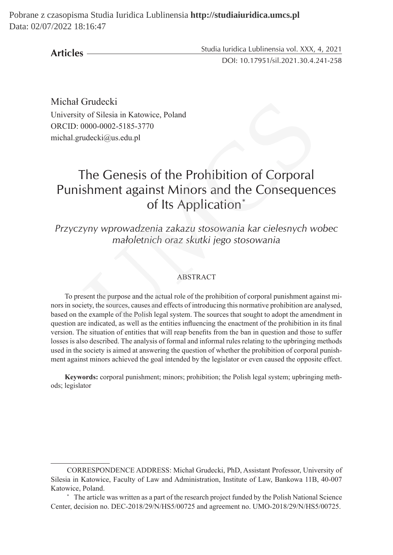Pobrane z czasopisma Studia Iuridica Lublinensia **http://studiaiuridica.umcs.pl** Data: 02/07/2022 18:16:47

**Articles**

Studia Iuridica Lublinensia vol. XXX, 4, 2021 DOI: 10.17951/sil.2021.30.4.241-258

Michał Grudecki University of Silesia in Katowice, Poland ORCID: 0000-0002-5185-3770 michal.grudecki@us.edu.pl

# The Genesis of the Prohibition of Corporal Punishment against Minors and the Consequences of Its Application\*

*Przyczyny wprowadzenia zakazu stosowania kar cielesnych wobec małoletnich oraz skutki jego stosowania*

### ABSTRACT

To present the purpose and the actual role of the prohibition of corporal punishment against minors in society, the sources, causes and effects of introducing this normative prohibition are analysed, based on the example of the Polish legal system. The sources that sought to adopt the amendment in question are indicated, as well as the entities influencing the enactment of the prohibition in its final version. The situation of entities that will reap benefits from the ban in question and those to suffer losses is also described. The analysis of formal and informal rules relating to the upbringing methods used in the society is aimed at answering the question of whether the prohibition of corporal punishment against minors achieved the goal intended by the legislator or even caused the opposite effect. Grudecki<br>
or Silesia in Katowice, Poland<br>
0000-0002-5185-3770<br>
udecki@us.edu.pl<br>
The Genesis of the Prohibition of Corporal<br>
shment against Minors and the Consequen<br>
of Its Application\*<br>
xyny wprowadzenia zakazu stosowania

**Keywords:** corporal punishment; minors; prohibition; the Polish legal system; upbringing methods; legislator

CORRESPONDENCE ADDRESS: Michał Grudecki, PhD, Assistant Professor, University of Silesia in Katowice, Faculty of Law and Administration, Institute of Law, Bankowa 11B, 40-007 Katowice, Poland.

<sup>\*</sup> The article was written as a part of the research project funded by the Polish National Science Center, decision no. DEC-2018/29/N/HS5/00725 and agreement no. UMO-2018/29/N/HS5/00725.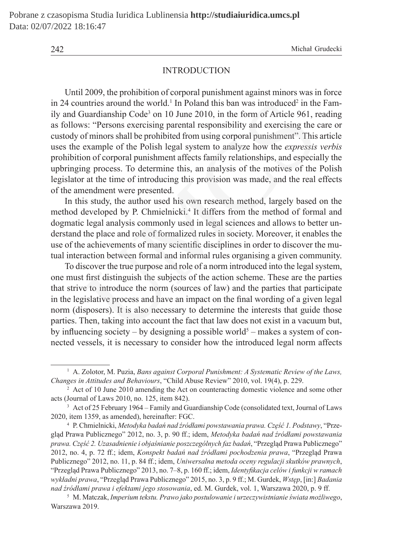242 Michał Grudecki

### **INTRODUCTION**

Until 2009, the prohibition of corporal punishment against minors was in force in 24 countries around the world.<sup>1</sup> In Poland this ban was introduced<sup>2</sup> in the Family and Guardianship Code<sup>3</sup> on 10 June 2010, in the form of Article 961, reading as follows: "Persons exercising parental responsibility and exercising the care or custody of minors shall be prohibited from using corporal punishment". This article uses the example of the Polish legal system to analyze how the *expressis verbis* prohibition of corporal punishment affects family relationships, and especially the upbringing process. To determine this, an analysis of the motives of the Polish legislator at the time of introducing this provision was made, and the real effects of the amendment were presented. untries around the world.<sup>1</sup> In Poland this ban was introduced<sup>2</sup> in the<br>buardianship Code<sup>3</sup> on 10 June 2010, in the form of Article 961, r<br>s: "Persons exercising parental responsibility and exercising the of<br>minors shall

In this study, the author used his own research method, largely based on the method developed by P. Chmielnicki.<sup>4</sup> It differs from the method of formal and dogmatic legal analysis commonly used in legal sciences and allows to better understand the place and role of formalized rules in society. Moreover, it enables the use of the achievements of many scientific disciplines in order to discover the mutual interaction between formal and informal rules organising a given community.

To discover the true purpose and role of a norm introduced into the legal system, one must first distinguish the subjects of the action scheme. These are the parties that strive to introduce the norm (sources of law) and the parties that participate in the legislative process and have an impact on the final wording of a given legal norm (disposers). It is also necessary to determine the interests that guide those parties. Then, taking into account the fact that law does not exist in a vacuum but, by influencing society – by designing a possible world<sup>5</sup> – makes a system of connected vessels, it is necessary to consider how the introduced legal norm affects

<sup>1</sup> A. Zolotor, M. Puzia, *Bans against Corporal Punishment: A Systematic Review of the Laws, Changes in Attitudes and Behaviours*, "Child Abuse Review" 2010, vol. 19(4), p. 229.

<sup>&</sup>lt;sup>2</sup> Act of 10 June 2010 amending the Act on counteracting domestic violence and some other acts (Journal of Laws 2010, no. 125, item 842).

<sup>3</sup> Act of 25 February 1964 – Family and Guardianship Code (consolidated text, Journal of Laws 2020, item 1359, as amended), hereinafter: FGC.

<sup>4</sup> P. Chmielnicki, *Metodyka badań nad źródłami powstawania prawa. Część 1. Podstawy*, "Przegląd Prawa Publicznego" 2012, no. 3, p. 90 ff.; idem, *Metodyka badań nad źródłami powstawania prawa. Część 2. Uzasadnienie i objaśnianie poszczególnych faz badań*, "Przegląd Prawa Publicznego" 2012, no. 4, p. 72 ff.; idem, *Konspekt badań nad źródłami pochodzenia prawa*, "Przegląd Prawa Publicznego" 2012, no. 11, p. 84 ff.; idem, *Uniwersalna metoda oceny regulacji skutków prawnych*, "Przegląd Prawa Publicznego" 2013, no. 7–8, p. 160 ff.; idem, *Identyfikacja celów i funkcji w ramach wykładni prawa*, "Przegląd Prawa Publicznego" 2015, no. 3, p. 9 ff.; M. Gurdek, *Wstęp*, [in:] *Badania nad źródłami prawa i efektami jego stosowania*, ed. M. Gurdek, vol. 1, Warszawa 2020, p. 9 ff.

<sup>5</sup> M. Matczak, *Imperium tekstu. Prawo jako postulowanie i urzeczywistnianie świata możliwego*, Warszawa 2019.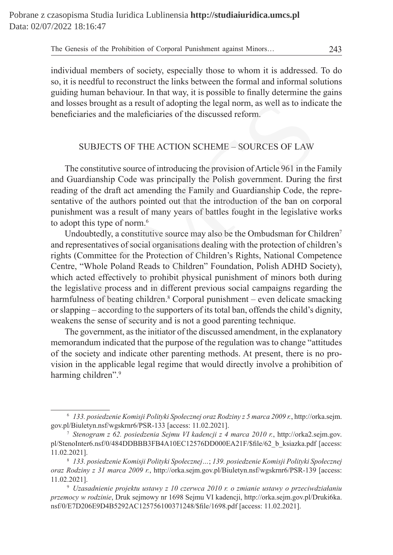individual members of society, especially those to whom it is addressed. To do so, it is needful to reconstruct the links between the formal and informal solutions guiding human behaviour. In that way, it is possible to finally determine the gains and losses brought as a result of adopting the legal norm, as well as to indicate the beneficiaries and the maleficiaries of the discussed reform.

# SUBJECTS OF THE ACTION SCHEME – SOURCES OF LAW

The constitutive source of introducing the provision of Article 961 in the Family and Guardianship Code was principally the Polish government. During the first reading of the draft act amending the Family and Guardianship Code, the representative of the authors pointed out that the introduction of the ban on corporal punishment was a result of many years of battles fought in the legislative works to adopt this type of norm.<sup>6</sup>

Undoubtedly, a constitutive source may also be the Ombudsman for Children<sup>7</sup> and representatives of social organisations dealing with the protection of children's rights (Committee for the Protection of Children's Rights, National Competence Centre, "Whole Poland Reads to Children" Foundation, Polish ADHD Society), which acted effectively to prohibit physical punishment of minors both during the legislative process and in different previous social campaigns regarding the harmfulness of beating children.<sup>8</sup> Corporal punishment – even delicate smacking or slapping – according to the supporters of its total ban, offends the child's dignity, weakens the sense of security and is not a good parenting technique. es brought as a result of adopting the legal norm, as well as to indic<br>ries and the maleficiaries of the discussed reform.<br>SUBJECTS OF THE ACTION SCHEME – SOURCES OF LAW<br>constitutive source of introducing the provision of

The government, as the initiator of the discussed amendment, in the explanatory memorandum indicated that the purpose of the regulation was to change "attitudes of the society and indicate other parenting methods. At present, there is no provision in the applicable legal regime that would directly involve a prohibition of harming children".<sup>9</sup>

The Genesis of the Prohibition of Corporal Punishment against Minors… 243

<sup>6</sup> *133. posiedzenie Komisji Polityki Społecznej oraz Rodziny z 5 marca 2009 r.*, http://orka.sejm. gov.pl/Biuletyn.nsf/wgskrnr6/PSR-133 [access: 11.02.2021].

<sup>7</sup> *Stenogram z 62. posiedzenia Sejmu VI kadencji z 4 marca 2010 r.*, http://orka2.sejm.gov. pl/StenoInter6.nsf/0/484DDBBB3FB4A10EC12576DD000EA21F/\$file/62\_b\_ksiazka.pdf [access: 11.02.2021].

<sup>8</sup> *133. posiedzenie Komisji Polityki Społecznej…*; *139. posiedzenie Komisji Polityki Społecznej oraz Rodziny z 31 marca 2009 r.*, http://orka.sejm.gov.pl/Biuletyn.nsf/wgskrnr6/PSR-139 [access: 11.02.2021].

<sup>9</sup> *Uzasadnienie projektu ustawy z 10 czerwca 2010 r. o zmianie ustawy o przeciwdziałaniu przemocy w rodzinie*, Druk sejmowy nr 1698 Sejmu VI kadencji, http://orka.sejm.gov.pl/Druki6ka. nsf/0/E7D206E9D4B5292AC125756100371248/\$file/1698.pdf [access: 11.02.2021].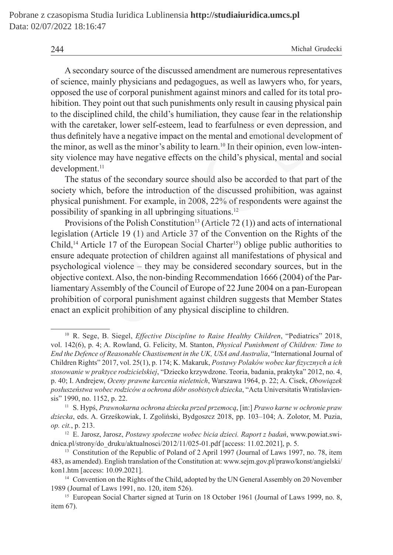A secondary source of the discussed amendment are numerous representatives of science, mainly physicians and pedagogues, as well as lawyers who, for years, opposed the use of corporal punishment against minors and called for its total prohibition. They point out that such punishments only result in causing physical pain to the disciplined child, the child's humiliation, they cause fear in the relationship with the caretaker, lower self-esteem, lead to fearfulness or even depression, and thus definitely have a negative impact on the mental and emotional development of the minor, as well as the minor's ability to learn.<sup>10</sup> In their opinion, even low-intensity violence may have negative effects on the child's physical, mental and social development.<sup>11</sup>

The status of the secondary source should also be accorded to that part of the society which, before the introduction of the discussed prohibition, was against physical punishment. For example, in 2008, 22% of respondents were against the possibility of spanking in all upbringing situations.12

Provisions of the Polish Constitution<sup>13</sup> (Article 72(1)) and acts of international legislation (Article 19 (1) and Article 37 of the Convention on the Rights of the Child,<sup>14</sup> Article 17 of the European Social Charter<sup>15</sup>) oblige public authorities to ensure adequate protection of children against all manifestations of physical and psychological violence – they may be considered secondary sources, but in the objective context. Also, the non-binding Recommendation 1666 (2004) of the Parliamentary Assembly of the Council of Europe of 22 June 2004 on a pan-European prohibition of corporal punishment against children suggests that Member States enact an explicit prohibition of any physical discipline to children. They point out that such punishments only result in causing physic<br>criplined child, the child's humiliation, they cause fear in the relati<br>caretaker, lower self-esteem, lead to fearfulness or even depressic<br>intely have a

<sup>10</sup> R. Sege, B. Siegel, *Effective Discipline to Raise Healthy Children*, "Pediatrics" 2018, vol. 142(6), p. 4; A. Rowland, G. Felicity, M. Stanton, *Physical Punishment of Children: Time to End the Defence of Reasonable Chastisement in the UK, USA and Australia*, "International Journal of Children Rights" 2017, vol. 25(1), p. 174; K. Makaruk, *Postawy Polaków wobec kar fizycznych a ich stosowanie w praktyce rodzicielskiej*, "Dziecko krzywdzone. Teoria, badania, praktyka" 2012, no. 4, p. 40; I. Andrejew, *Oceny prawne karcenia nieletnich*, Warszawa 1964, p. 22; A. Cisek, *Obowiązek posłuszeństwa wobec rodziców a ochrona dóbr osobistych dziecka*, "Acta Universitatis Wratislaviensis" 1990, no. 1152, p. 22.

<sup>11</sup> S. Hypś, *Prawnokarna ochrona dziecka przed przemocą*, [in:] *Prawo karne w ochronie praw dziecka*, eds. A. Grześkowiak, I. Zgoliński, Bydgoszcz 2018, pp. 103–104; A. Zolotor, M. Puzia, *op. cit.*, p. 213.

<sup>12</sup> E. Jarosz, Jarosz, *Postawy społeczne wobec bicia dzieci. Raport z badań*, www.powiat.swidnica.pl/strony/do\_druku/aktualnosci/2012/11/025-01.pdf [access: 11.02.2021], p. 5.

<sup>&</sup>lt;sup>13</sup> Constitution of the Republic of Poland of 2 April 1997 (Journal of Laws 1997, no. 78, item 483, as amended). English translation of the Constitution at: www.sejm.gov.pl/prawo/konst/angielski/ kon1.htm [access: 10.09.2021].

<sup>&</sup>lt;sup>14</sup> Convention on the Rights of the Child, adopted by the UN General Assembly on 20 November 1989 (Journal of Laws 1991, no. 120, item 526).

<sup>&</sup>lt;sup>15</sup> European Social Charter signed at Turin on 18 October 1961 (Journal of Laws 1999, no. 8, item 67).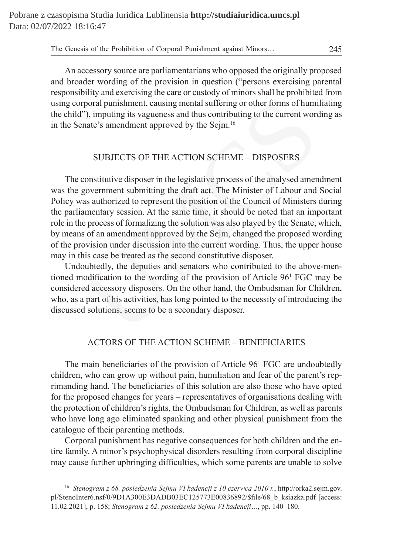An accessory source are parliamentarians who opposed the originally proposed and broader wording of the provision in question ("persons exercising parental responsibility and exercising the care or custody of minors shall be prohibited from using corporal punishment, causing mental suffering or other forms of humiliating the child"), imputing its vagueness and thus contributing to the current wording as in the Senate's amendment approved by the Sejm.16

### SUBJECTS OF THE ACTION SCHEME – DISPOSERS

The constitutive disposer in the legislative process of the analysed amendment was the government submitting the draft act. The Minister of Labour and Social Policy was authorized to represent the position of the Council of Ministers during the parliamentary session. At the same time, it should be noted that an important role in the process of formalizing the solution was also played by the Senate, which, by means of an amendment approved by the Sejm, changed the proposed wording of the provision under discussion into the current wording. Thus, the upper house may in this case be treated as the second constitutive disposer. rporal punishment, causing mental suffering or other forms of humi"), imputing its vagueness and thus contributing to the current word and the Sem.<sup>16</sup> SUBJECTS OF THE ACTION SCHEME – DISPOSERS<br>
constitutive disposer in th

Undoubtedly, the deputies and senators who contributed to the above-mentioned modification to the wording of the provision of Article 961 FGC may be considered accessory disposers. On the other hand, the Ombudsman for Children, who, as a part of his activities, has long pointed to the necessity of introducing the discussed solutions, seems to be a secondary disposer.

### ACTORS OF THE ACTION SCHEME – BENEFICIARIES

The main beneficiaries of the provision of Article 96<sup>1</sup> FGC are undoubtedly children, who can grow up without pain, humiliation and fear of the parent's reprimanding hand. The beneficiaries of this solution are also those who have opted for the proposed changes for years – representatives of organisations dealing with the protection of children's rights, the Ombudsman for Children, as well as parents who have long ago eliminated spanking and other physical punishment from the catalogue of their parenting methods.

Corporal punishment has negative consequences for both children and the entire family. A minor's psychophysical disorders resulting from corporal discipline may cause further upbringing difficulties, which some parents are unable to solve

<sup>16</sup> *Stenogram z 68. posiedzenia Sejmu VI kadencji z 10 czerwca 2010 r.*, http://orka2.sejm.gov. pl/StenoInter6.nsf/0/9D1A300E3DADB03EC125773E00836892/\$file/68\_b\_ksiazka.pdf [access: 11.02.2021], p. 158; *Stenogram z 62. posiedzenia Sejmu VI kadencji…*, pp. 140–180.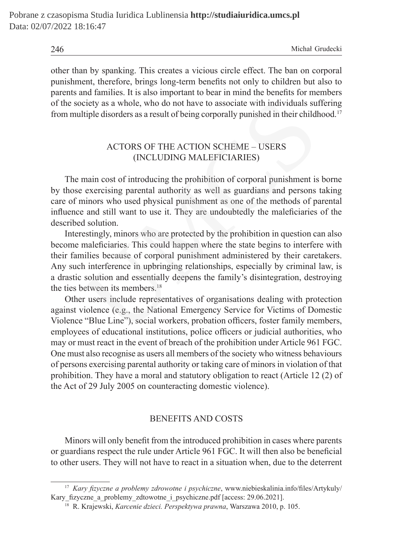246 Michał Grudecki

other than by spanking. This creates a vicious circle effect. The ban on corporal punishment, therefore, brings long-term benefits not only to children but also to parents and families. It is also important to bear in mind the benefits for members of the society as a whole, who do not have to associate with individuals suffering from multiple disorders as a result of being corporally punished in their childhood.17

# ACTORS OF THE ACTION SCHEME – USERS (INCLUDING MALEFICIARIES)

The main cost of introducing the prohibition of corporal punishment is borne by those exercising parental authority as well as guardians and persons taking care of minors who used physical punishment as one of the methods of parental influence and still want to use it. They are undoubtedly the maleficiaries of the described solution.

Interestingly, minors who are protected by the prohibition in question can also become maleficiaries. This could happen where the state begins to interfere with their families because of corporal punishment administered by their caretakers. Any such interference in upbringing relationships, especially by criminal law, is a drastic solution and essentially deepens the family's disintegration, destroying the ties between its members.18 ciety as a whole, who do not have to associate with individuals su<br>thiple disorders as a result of being corporally punished in their childl<br>Herical childs are account to the ACTION SCHEME – USERS<br>(INCLUDING MALEFICIARIES)

Other users include representatives of organisations dealing with protection against violence (e.g., the National Emergency Service for Victims of Domestic Violence "Blue Line"), social workers, probation officers, foster family members, employees of educational institutions, police officers or judicial authorities, who may or must react in the event of breach of the prohibition under Article 961 FGC. One must also recognise as users all members of the society who witness behaviours of persons exercising parental authority or taking care of minors in violation of that prohibition. They have a moral and statutory obligation to react (Article 12 (2) of the Act of 29 July 2005 on counteracting domestic violence).

### BENEFITS AND COSTS

Minors will only benefit from the introduced prohibition in cases where parents or guardians respect the rule under Article 961 FGC. It will then also be beneficial to other users. They will not have to react in a situation when, due to the deterrent

<sup>17</sup> *Kary fizyczne a problemy zdrowotne i psychiczne*, www.niebieskalinia.info/files/Artykuly/ Kary fizyczne a problemy zdtowotne i psychiczne.pdf [access: 29.06.2021].

<sup>18</sup> R. Krajewski, *Karcenie dzieci. Perspektywa prawna*, Warszawa 2010, p. 105.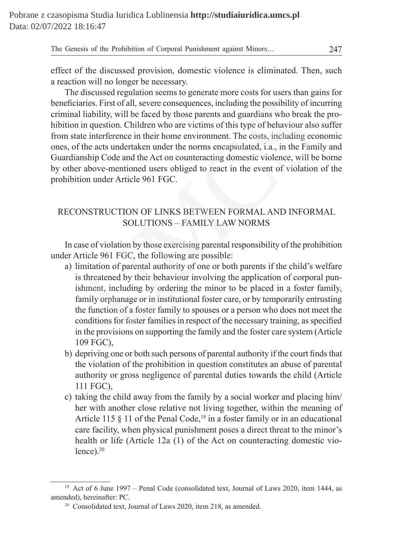effect of the discussed provision, domestic violence is eliminated. Then, such a reaction will no longer be necessary.

The discussed regulation seems to generate more costs for users than gains for beneficiaries. First of all, severe consequences, including the possibility of incurring criminal liability, will be faced by those parents and guardians who break the prohibition in question. Children who are victims of this type of behaviour also suffer from state interference in their home environment. The costs, including economic ones, of the acts undertaken under the norms encapsulated, i.a., in the Family and Guardianship Code and the Act on counteracting domestic violence, will be borne by other above-mentioned users obliged to react in the event of violation of the prohibition under Article 961 FGC. iries. First of all, severe consequences, including the possibility of incitability, will be faced by those parents and guardians who break the interference in their home environment. The costs, including etcons the interf

# RECONSTRUCTION OF LINKS BETWEEN FORMAL AND INFORMAL SOLUTIONS – FAMILY LAW NORMS

In case of violation by those exercising parental responsibility of the prohibition under Article 961 FGC, the following are possible:

- a) limitation of parental authority of one or both parents if the child's welfare is threatened by their behaviour involving the application of corporal punishment, including by ordering the minor to be placed in a foster family, family orphanage or in institutional foster care, or by temporarily entrusting the function of a foster family to spouses or a person who does not meet the conditions for foster families in respect of the necessary training, as specified in the provisions on supporting the family and the foster care system (Article 109 FGC),
- b) depriving one or both such persons of parental authority if the court finds that the violation of the prohibition in question constitutes an abuse of parental authority or gross negligence of parental duties towards the child (Article 111 FGC),
- c) taking the child away from the family by a social worker and placing him/ her with another close relative not living together, within the meaning of Article 115  $\S$  11 of the Penal Code,<sup>19</sup> in a foster family or in an educational care facility, when physical punishment poses a direct threat to the minor's health or life (Article 12a (1) of the Act on counteracting domestic violence). $20$

<sup>&</sup>lt;sup>19</sup> Act of 6 June 1997 – Penal Code (consolidated text, Journal of Laws 2020, item 1444, as amended), hereinafter: PC.

<sup>20</sup> Consolidated text, Journal of Laws 2020, item 218, as amended.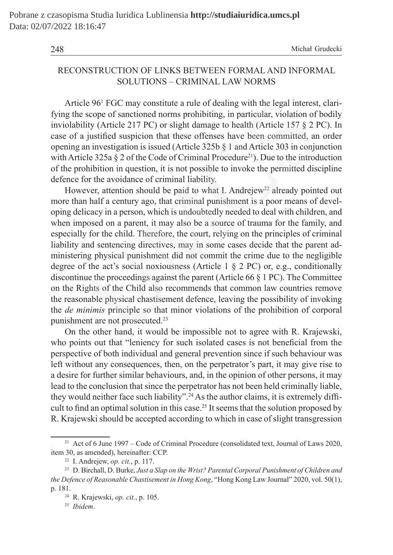248 Michał Grudecki

# RECONSTRUCTION OF LINKS BETWEEN FORMAL AND INFORMAL SOLUTIONS – CRIMINAL LAW NORMS

Article 961 FGC may constitute a rule of dealing with the legal interest, clarifying the scope of sanctioned norms prohibiting, in particular, violation of bodily inviolability (Article 217 PC) or slight damage to health (Article 157 § 2 PC). In case of a justified suspicion that these offenses have been committed, an order opening an investigation is issued (Article 325b § 1 and Article 303 in conjunction with Article 325a  $\S 2$  of the Code of Criminal Procedure<sup>21</sup>). Due to the introduction of the prohibition in question, it is not possible to invoke the permitted discipline defence for the avoidance of criminal liability.

However, attention should be paid to what I. Andrejew<sup>22</sup> already pointed out more than half a century ago, that criminal punishment is a poor means of developing delicacy in a person, which is undoubtedly needed to deal with children, and when imposed on a parent, it may also be a source of trauma for the family, and especially for the child. Therefore, the court, relying on the principles of criminal liability and sentencing directives, may in some cases decide that the parent administering physical punishment did not commit the crime due to the negligible degree of the act's social noxiousness (Article 1 § 2 PC) or, e.g., conditionally discontinue the proceedings against the parent (Article 66 § 1 PC). The Committee on the Rights of the Child also recommends that common law countries remove the reasonable physical chastisement defence, leaving the possibility of invoking the *de minimis* principle so that minor violations of the prohibition of corporal punishment are not prosecuted.<sup>23</sup> le 96<sup>1</sup> FGC may constitute a rule of dealing with the legal interest<br>scope of sanctioned norms prohibiting, in particular, violation of<br>lily (Article 217 PC) or slight damage to health (Article 157 § 2 I<br>ignstified suppi

On the other hand, it would be impossible not to agree with R. Krajewski, who points out that "leniency for such isolated cases is not beneficial from the perspective of both individual and general prevention since if such behaviour was left without any consequences, then, on the perpetrator's part, it may give rise to a desire for further similar behaviours, and, in the opinion of other persons, it may lead to the conclusion that since the perpetrator has not been held criminally liable, they would neither face such liability".<sup>24</sup> As the author claims, it is extremely difficult to find an optimal solution in this case.25 It seems that the solution proposed by R. Krajewski should be accepted according to which in case of slight transgression

<sup>21</sup> Act of 6 June 1997 – Code of Criminal Procedure (consolidated text, Journal of Laws 2020, item 30, as amended), hereinafter: CCP.

<sup>22</sup> I. Andrejew, *op. cit.*, p. 117.

<sup>23</sup> D. Birchall, D. Burke, *Just a Slap on the Wrist? Parental Corporal Punishment of Children and the Defence of Reasonable Chastisement in Hong Kong*, "Hong Kong Law Journal" 2020, vol. 50(1), p. 181.

<sup>24</sup> R. Krajewski, *op. cit.*, p. 105.

<sup>25</sup> *Ibidem*.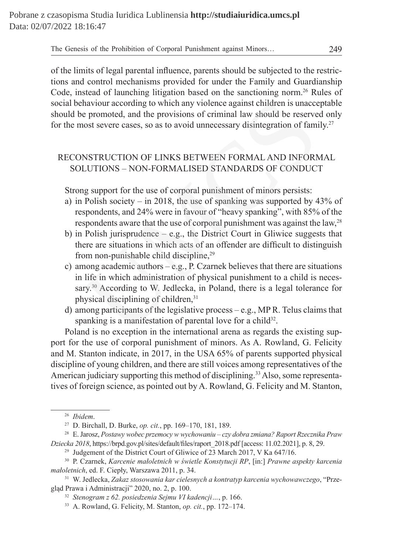of the limits of legal parental influence, parents should be subjected to the restrictions and control mechanisms provided for under the Family and Guardianship Code, instead of launching litigation based on the sanctioning norm.<sup>26</sup> Rules of social behaviour according to which any violence against children is unacceptable should be promoted, and the provisions of criminal law should be reserved only for the most severe cases, so as to avoid unnecessary disintegration of family.<sup>27</sup>

# RECONSTRUCTION OF LINKS BETWEEN FORMAL AND INFORMAL SOLUTIONS – NON-FORMALISED STANDARDS OF CONDUCT

Strong support for the use of corporal punishment of minors persists:

- a) in Polish society in 2018, the use of spanking was supported by 43% of respondents, and 24% were in favour of "heavy spanking", with 85% of the respondents aware that the use of corporal punishment was against the law.<sup>28</sup>
- b) in Polish jurisprudence e.g., the District Court in Gliwice suggests that there are situations in which acts of an offender are difficult to distinguish from non-punishable child discipline,<sup>29</sup>
- c) among academic authors e.g., P. Czarnek believes that there are situations in life in which administration of physical punishment to a child is necessary.30 According to W. Jedlecka, in Poland, there is a legal tolerance for physical disciplining of children,<sup>31</sup> haviour according to which any violence against children is unacce<br>e promoted, and the provisions of criminal law should be reserve<br>oost severe cases, so as to avoid unnecessary disintegration of fam<br>NSTRUCTION OF LINKS B
- d) among participants of the legislative process e.g., MP R. Telus claims that spanking is a manifestation of parental love for a child<sup>32</sup>.

Poland is no exception in the international arena as regards the existing support for the use of corporal punishment of minors. As A. Rowland, G. Felicity and M. Stanton indicate, in 2017, in the USA 65% of parents supported physical discipline of young children, and there are still voices among representatives of the American judiciary supporting this method of disciplining.<sup>33</sup> Also, some representatives of foreign science, as pointed out by A. Rowland, G. Felicity and M. Stanton,

<sup>26</sup> *Ibidem*.

<sup>27</sup> D. Birchall, D. Burke, *op. cit.*, pp. 169–170, 181, 189.

<sup>28</sup> E. Jarosz, *Postawy wobec przemocy w wychowaniu – czy dobra zmiana? Raport Rzecznika Praw Dziecka 2018*, https://brpd.gov.pl/sites/default/files/raport\_2018.pdf [access: 11.02.2021], p. 8, 29.

<sup>&</sup>lt;sup>29</sup> Judgement of the District Court of Gliwice of 23 March 2017, V Ka 647/16.

<sup>30</sup> P. Czarnek, *Karcenie małoletnich w świetle Konstytucji RP*, [in:] *Prawne aspekty karcenia małoletnich*, ed. F. Ciepły, Warszawa 2011, p. 34.

<sup>31</sup> W. Jedlecka, *Zakaz stosowania kar cielesnych a kontratyp karcenia wychowawczego*, "Przegląd Prawa i Administracji" 2020, no. 2, p. 100.

<sup>32</sup> *Stenogram z 62. posiedzenia Sejmu VI kadencji…*, p. 166.

<sup>33</sup> A. Rowland, G. Felicity, M. Stanton, *op. cit.*, pp. 172–174.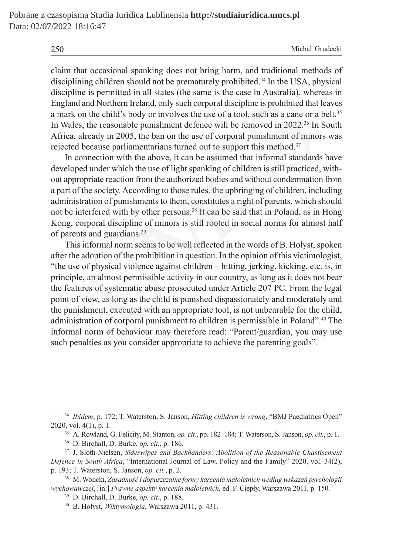claim that occasional spanking does not bring harm, and traditional methods of disciplining children should not be prematurely prohibited.34 In the USA, physical discipline is permitted in all states (the same is the case in Australia), whereas in England and Northern Ireland, only such corporal discipline is prohibited that leaves a mark on the child's body or involves the use of a tool, such as a cane or a belt.<sup>35</sup> In Wales, the reasonable punishment defence will be removed in 2022.<sup>36</sup> In South Africa, already in 2005, the ban on the use of corporal punishment of minors was rejected because parliamentarians turned out to support this method.<sup>37</sup>

In connection with the above, it can be assumed that informal standards have developed under which the use of light spanking of children is still practiced, without appropriate reaction from the authorized bodies and without condemnation from a part of the society. According to those rules, the upbringing of children, including administration of punishments to them, constitutes a right of parents, which should not be interfered with by other persons.<sup>38</sup> It can be said that in Poland, as in Hong Kong, corporal discipline of minors is still rooted in social norms for almost half of parents and guardians.39

This informal norm seems to be well reflected in the words of B. Hołyst, spoken after the adoption of the prohibition in question. In the opinion of this victimologist, "the use of physical violence against children – hitting, jerking, kicking, etc. is, in principle, an almost permissible activity in our country, as long as it does not bear the features of systematic abuse prosecuted under Article 207 PC. From the legal point of view, as long as the child is punished dispassionately and moderately and the punishment, executed with an appropriate tool, is not unbearable for the child, administration of corporal punishment to children is permissible in Poland".40 The informal norm of behaviour may therefore read: "Parent/guardian, you may use such penalties as you consider appropriate to achieve the parenting goals". and Northern Ireland, only such corporal discipline is prohibited that<br>in the child's body or involves the use of a tool, such as a cane or a<br>the reasonable punishment defence will be removed in 2022.<sup>36</sup> In<br>lready in 200

<sup>34</sup> *Ibidem*, p. 172; T. Waterston, S. Janson, *Hitting children is wrong*, "BMJ Paediatrics Open" 2020, vol. 4(1), p. 1.

<sup>35</sup> A. Rowland, G. Felicity, M. Stanton, *op. cit.*, pp. 182–184; T. Waterson, S. Janson, *op. cit.*, p. 1.

<sup>36</sup> D. Birchall, D. Burke, *op. cit.*, p. 186.

<sup>37</sup> J. Sloth-Nielsen, *Sideswipes and Backhanders: Abolition of the Reasonable Chastisement Defence in South Africa*, "International Journal of Law, Policy and the Family" 2020, vol. 34(2), p. 193; T. Waterston, S. Janson, *op. cit.*, p. 2.

<sup>38</sup> M. Wolicki, *Zasadność i dopuszczalne formy karcenia małoletnich według wskazań psychologii wychowawczej*, [in:] *Prawne aspekty karcenia małoletnich*, ed. F. Ciepły, Warszawa 2011, p. 150.

<sup>39</sup> D. Birchall, D. Burke, *op. cit.*, p. 188.

<sup>40</sup> B. Hołyst, *Wiktymologia*, Warszawa 2011, p. 431.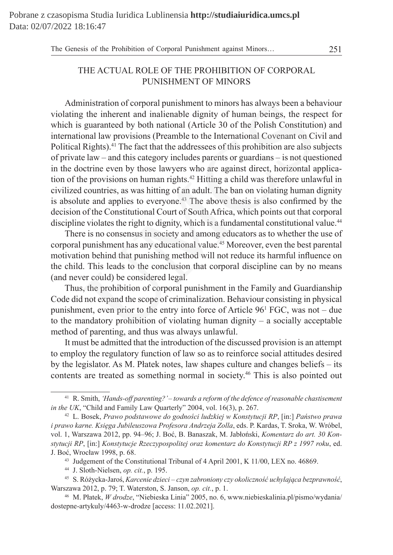# THE ACTUAL ROLE OF THE PROHIBITION OF CORPORAL PUNISHMENT OF MINORS

Administration of corporal punishment to minors has always been a behaviour violating the inherent and inalienable dignity of human beings, the respect for which is guaranteed by both national (Article 30 of the Polish Constitution) and international law provisions (Preamble to the International Covenant on Civil and Political Rights).<sup>41</sup> The fact that the addressees of this prohibition are also subjects of private law – and this category includes parents or guardians – is not questioned in the doctrine even by those lawyers who are against direct, horizontal application of the provisions on human rights.<sup>42</sup> Hitting a child was therefore unlawful in civilized countries, as was hitting of an adult. The ban on violating human dignity is absolute and applies to everyone.<sup>43</sup> The above thesis is also confirmed by the decision of the Constitutional Court of South Africa, which points out that corporal discipline violates the right to dignity, which is a fundamental constitutional value.<sup>44</sup> inistration of corporal punishment to minors has always been a beh<br>the inherent and inalienable dignity of human beings, the resp<br>guaranteed by both national (Article 30 of the Polish Constitutio<br>onal law provisions (Prea

There is no consensus in society and among educators as to whether the use of corporal punishment has any educational value.45 Moreover, even the best parental motivation behind that punishing method will not reduce its harmful influence on the child. This leads to the conclusion that corporal discipline can by no means (and never could) be considered legal.

Thus, the prohibition of corporal punishment in the Family and Guardianship Code did not expand the scope of criminalization. Behaviour consisting in physical punishment, even prior to the entry into force of Article 961 FGC, was not – due to the mandatory prohibition of violating human dignity – a socially acceptable method of parenting, and thus was always unlawful.

It must be admitted that the introduction of the discussed provision is an attempt to employ the regulatory function of law so as to reinforce social attitudes desired by the legislator. As M. Płatek notes, law shapes culture and changes beliefs – its contents are treated as something normal in society.46 This is also pointed out

<sup>41</sup> R. Smith, *'Hands-off parenting?' – towards a reform of the defence of reasonable chastisement in the UK*, "Child and Family Law Quarterly" 2004, vol. 16(3), p. 267.

<sup>42</sup> L. Bosek, *Prawo podstawowe do godności ludzkiej w Konstytucji RP*, [in:] *Państwo prawa i prawo karne. Księga Jubileuszowa Profesora Andrzeja Zolla*, eds. P. Kardas, T. Sroka, W. Wróbel, vol. 1, Warszawa 2012, pp. 94–96; J. Boć, B. Banaszak, M. Jabłoński, *Komentarz do art. 30 Konstytucji RP*, [in:] *Konstytucje Rzeczypospolitej oraz komentarz do Konstytucji RP z 1997 roku*, ed. J. Boć, Wrocław 1998, p. 68.

<sup>43</sup> Judgement of the Constitutional Tribunal of 4 April 2001, K 11/00, LEX no. 46869.

<sup>44</sup> J. Sloth-Nielsen, *op. cit.*, p. 195.

<sup>45</sup> S. Różycka-Jaroś, *Karcenie dzieci – czyn zabroniony czy okoliczność uchylająca bezprawność*, Warszawa 2012, p. 79; T. Waterston, S. Janson, *op. cit.*, p. 1.

<sup>46</sup> M. Płatek, *W drodze*, "Niebieska Linia" 2005, no. 6, www.niebieskalinia.pl/pismo/wydania/ dostepne-artykuly/4463-w-drodze [access: 11.02.2021].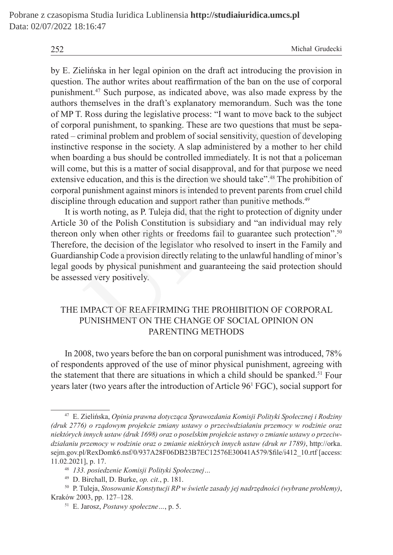by E. Zielińska in her legal opinion on the draft act introducing the provision in question. The author writes about reaffirmation of the ban on the use of corporal punishment.47 Such purpose, as indicated above, was also made express by the authors themselves in the draft's explanatory memorandum. Such was the tone of MP T. Ross during the legislative process: "I want to move back to the subject of corporal punishment, to spanking. These are two questions that must be separated – criminal problem and problem of social sensitivity, question of developing instinctive response in the society. A slap administered by a mother to her child when boarding a bus should be controlled immediately. It is not that a policeman will come, but this is a matter of social disapproval, and for that purpose we need extensive education, and this is the direction we should take".<sup>48</sup> The prohibition of corporal punishment against minors is intended to prevent parents from cruel child discipline through education and support rather than punitive methods.<sup>49</sup> themselves in the draft's explanatory memorandum. Such was then Ross during the legislative process: "I want to move back to the eral punishment, to spanking. These are two questions that must be firminal problem and probl

It is worth noting, as P. Tuleja did, that the right to protection of dignity under Article 30 of the Polish Constitution is subsidiary and "an individual may rely thereon only when other rights or freedoms fail to guarantee such protection".50 Therefore, the decision of the legislator who resolved to insert in the Family and Guardianship Code a provision directly relating to the unlawful handling of minor's legal goods by physical punishment and guaranteeing the said protection should be assessed very positively.

# THE IMPACT OF REAFFIRMING THE PROHIBITION OF CORPORAL PUNISHMENT ON THE CHANGE OF SOCIAL OPINION ON PARENTING METHODS

In 2008, two years before the ban on corporal punishment was introduced, 78% of respondents approved of the use of minor physical punishment, agreeing with the statement that there are situations in which a child should be spanked.<sup>51</sup> Four years later (two years after the introduction of Article 961 FGC), social support for

<sup>47</sup> E. Zielińska, *Opinia prawna dotycząca Sprawozdania Komisji Polityki Społecznej i Rodziny (druk 2776) o rządowym projekcie zmiany ustawy o przeciwdziałaniu przemocy w rodzinie oraz niektórych innych ustaw (druk 1698) oraz o poselskim projekcie ustawy o zmianie ustawy o przeciwdziałaniu przemocy w rodzinie oraz o zmianie niektórych innych ustaw (druk nr 1789)*, http://orka. sejm.gov.pl/RexDomk6.nsf/0/937A28F06DB23B7EC12576E30041A579/\$file/i412\_10.rtf [access: 11.02.2021], p. 17.

<sup>48</sup> *133. posiedzenie Komisji Polityki Społecznej…*

<sup>49</sup> D. Birchall, D. Burke, *op. cit.*, p. 181.

<sup>50</sup> P. Tuleja, *Stosowanie Konstytucji RP w świetle zasady jej nadrzędności (wybrane problemy)*, Kraków 2003, pp. 127–128.

<sup>51</sup> E. Jarosz, *Postawy społeczne…*, p. 5.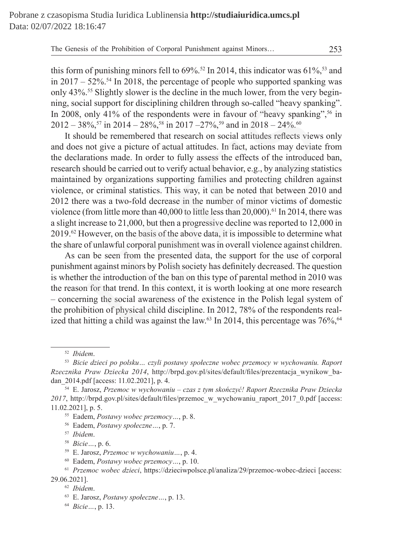this form of punishing minors fell to  $69\%$ <sup>52</sup> In 2014, this indicator was  $61\%$ <sup>53</sup> and in  $2017 - 52\%$ .<sup>54</sup> In 2018, the percentage of people who supported spanking was only  $43\%$ <sup>55</sup> Slightly slower is the decline in the much lower, from the very beginning, social support for disciplining children through so-called "heavy spanking". In 2008, only 41% of the respondents were in favour of "heavy spanking",  $56$  in  $2012 - 38\%,$ <sup>57</sup> in  $2014 - 28\%,$ <sup>58</sup> in  $2017 - 27\%,$ <sup>59</sup> and in  $2018 - 24\%,$ <sup>60</sup>

It should be remembered that research on social attitudes reflects views only and does not give a picture of actual attitudes. In fact, actions may deviate from the declarations made. In order to fully assess the effects of the introduced ban, research should be carried out to verify actual behavior, e.g., by analyzing statistics maintained by organizations supporting families and protecting children against violence, or criminal statistics. This way, it can be noted that between 2010 and 2012 there was a two-fold decrease in the number of minor victims of domestic violence (from little more than  $40,000$  to little less than  $20,000$ ).<sup>61</sup> In 2014, there was a slight increase to 21,000, but then a progressive decline was reported to 12,000 in  $2019<sup>62</sup>$  However, on the basis of the above data, it is impossible to determine what the share of unlawful corporal punishment was in overall violence against children. ial support for disciplining children through so-called "heavy span only 41% of the respondents were in favour of "heavy spanking 8%,<sup>57</sup> in 2014 – 28%,<sup>58</sup> in 2017 – 27%,<sup>59</sup> and in 2018 – 24%.<sup>60</sup> suould be remembered t

As can be seen from the presented data, the support for the use of corporal punishment against minors by Polish society has definitely decreased. The question is whether the introduction of the ban on this type of parental method in 2010 was the reason for that trend. In this context, it is worth looking at one more research – concerning the social awareness of the existence in the Polish legal system of the prohibition of physical child discipline. In 2012, 78% of the respondents realized that hitting a child was against the law.<sup>63</sup> In 2014, this percentage was  $76\%$ , <sup>64</sup>

<sup>52</sup> *Ibidem*.

<sup>53</sup> *Bicie dzieci po polsku… czyli postawy społeczne wobec przemocy w wychowaniu. Raport Rzecznika Praw Dziecka 2014*, http://brpd.gov.pl/sites/default/files/prezentacja\_wynikow\_badan\_2014.pdf [access: 11.02.2021], p. 4.

<sup>54</sup> E. Jarosz, *Przemoc w wychowaniu – czas z tym skończyć! Raport Rzecznika Praw Dziecka*  2017, http://brpd.gov.pl/sites/default/files/przemoc\_w\_wychowaniu\_raport\_2017\_0.pdf [access: 11.02.2021], p. 5.

<sup>55</sup> Eadem, *Postawy wobec przemocy…*, p. 8.

<sup>56</sup> Eadem, *Postawy społeczne…*, p. 7.

<sup>57</sup> *Ibidem*.

<sup>58</sup> *Bicie…*, p. 6.

<sup>59</sup> E. Jarosz, *Przemoc w wychowaniu…*, p. 4.

<sup>60</sup> Eadem, *Postawy wobec przemocy…*, p. 10.

<sup>61</sup> *Przemoc wobec dzieci*, https://dzieciwpolsce.pl/analiza/29/przemoc-wobec-dzieci [access: 29.06.2021].

<sup>62</sup> *Ibidem*.

<sup>63</sup> E. Jarosz, *Postawy społeczne…*, p. 13.

<sup>64</sup> *Bicie…*, p. 13.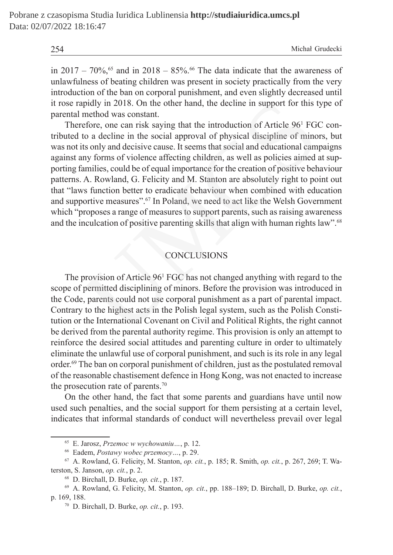| 254 | Michał Grudecki |
|-----|-----------------|
|     |                 |

in 2017 – 70%,<sup>65</sup> and in 2018 – 85%.<sup>66</sup> The data indicate that the awareness of unlawfulness of beating children was present in society practically from the very introduction of the ban on corporal punishment, and even slightly decreased until it rose rapidly in 2018. On the other hand, the decline in support for this type of parental method was constant.

Therefore, one can risk saying that the introduction of Article 961 FGC contributed to a decline in the social approval of physical discipline of minors, but was not its only and decisive cause. It seems that social and educational campaigns against any forms of violence affecting children, as well as policies aimed at supporting families, could be of equal importance for the creation of positive behaviour patterns. A. Rowland, G. Felicity and M. Stanton are absolutely right to point out that "laws function better to eradicate behaviour when combined with education and supportive measures".67 In Poland, we need to act like the Welsh Government which "proposes a range of measures to support parents, such as raising awareness and the inculcation of positive parenting skills that align with human rights law".<sup>68</sup> pidly in 2018. On the other hand, the decline in support for this t<br>method was constant.<br>efore, one can risk saying that the introduction of Article 96<sup>1</sup>FG<br>to a decline in the social approval of physical discipline of mi

### **CONCLUSIONS**

The provision of Article 961 FGC has not changed anything with regard to the scope of permitted disciplining of minors. Before the provision was introduced in the Code, parents could not use corporal punishment as a part of parental impact. Contrary to the highest acts in the Polish legal system, such as the Polish Constitution or the International Covenant on Civil and Political Rights, the right cannot be derived from the parental authority regime. This provision is only an attempt to reinforce the desired social attitudes and parenting culture in order to ultimately eliminate the unlawful use of corporal punishment, and such is its role in any legal order.69 The ban on corporal punishment of children, just as the postulated removal of the reasonable chastisement defence in Hong Kong, was not enacted to increase the prosecution rate of parents.70

On the other hand, the fact that some parents and guardians have until now used such penalties, and the social support for them persisting at a certain level, indicates that informal standards of conduct will nevertheless prevail over legal

<sup>65</sup> E. Jarosz, *Przemoc w wychowaniu…*, p. 12.

<sup>66</sup> Eadem, *Postawy wobec przemocy…*, p. 29.

<sup>67</sup> A. Rowland, G. Felicity, M. Stanton, *op. cit.*, p. 185; R. Smith, *op. cit.*, p. 267, 269; T. Waterston, S. Janson, *op. cit.*, p. 2.

<sup>68</sup> D. Birchall, D. Burke, *op. cit.*, p. 187.

<sup>69</sup> A. Rowland, G. Felicity, M. Stanton, *op. cit.*, pp. 188–189; D. Birchall, D. Burke, *op. cit.*, p. 169, 188.

<sup>70</sup> D. Birchall, D. Burke, *op. cit.*, p. 193.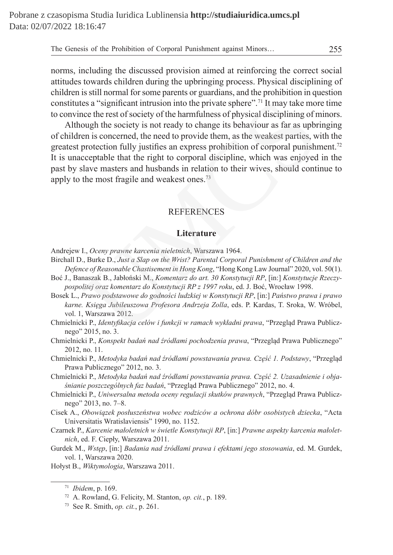norms, including the discussed provision aimed at reinforcing the correct social attitudes towards children during the upbringing process. Physical disciplining of children is still normal for some parents or guardians, and the prohibition in question constitutes a "significant intrusion into the private sphere".71 It may take more time to convince the rest of society of the harmfulness of physical disciplining of minors.

Although the society is not ready to change its behaviour as far as upbringing of children is concerned, the need to provide them, as the weakest parties, with the greatest protection fully justifies an express prohibition of corporal punishment.72 It is unacceptable that the right to corporal discipline, which was enjoyed in the past by slave masters and husbands in relation to their wives, should continue to apply to the most fragile and weakest ones.73 es a "significant intrusion into the private sphere".<sup>71</sup> It may take mot<br>
coce the rest of society of the harmfulness of physical disciplining of r<br>
ough the society is not ready to change its behaviour as far as upbr<br>
en

### REFERENCES

#### **Literature**

- Andrejew I., *Oceny prawne karcenia nieletnich*, Warszawa 1964.
- Birchall D., Burke D., *Just a Slap on the Wrist? Parental Corporal Punishment of Children and the Defence of Reasonable Chastisement in Hong Kong*, "Hong Kong Law Journal" 2020, vol. 50(1).
- Boć J., Banaszak B., Jabłoński M., *Komentarz do art. 30 Konstytucji RP*, [in:] *Konstytucje Rzeczypospolitej oraz komentarz do Konstytucji RP z 1997 roku*, ed. J. Boć, Wrocław 1998.
- Bosek L., *Prawo podstawowe do godności ludzkiej w Konstytucji RP*, [in:] *Państwo prawa i prawo karne. Księga Jubileuszowa Profesora Andrzeja Zolla*, eds. P. Kardas, T. Sroka, W. Wróbel, vol. 1, Warszawa 2012.
- Chmielnicki P., *Identyfikacja celów i funkcji w ramach wykładni prawa*, "Przegląd Prawa Publicznego" 2015, no. 3.
- Chmielnicki P., *Konspekt badań nad źródłami pochodzenia prawa*, "Przegląd Prawa Publicznego" 2012, no. 11.
- Chmielnicki P., *Metodyka badań nad źródłami powstawania prawa. Część 1. Podstawy*, "Przegląd Prawa Publicznego" 2012, no. 3.
- Chmielnicki P., *Metodyka badań nad źródłami powstawania prawa. Część 2. Uzasadnienie i objaśnianie poszczególnych faz badań*, "Przegląd Prawa Publicznego" 2012, no. 4.
- Chmielnicki P., *Uniwersalna metoda oceny regulacji skutków prawnych*, "Przegląd Prawa Publicznego" 2013, no. 7–8.
- Cisek A., *Obowiązek posłuszeństwa wobec rodziców a ochrona dóbr osobistych dziecka*, "Acta Universitatis Wratislaviensis" 1990, no. 1152.
- Czarnek P., *Karcenie małoletnich w świetle Konstytucji RP*, [in:] *Prawne aspekty karcenia małoletnich*, ed. F. Ciepły, Warszawa 2011.
- Gurdek M., *Wstęp*, [in:] *Badania nad źródłami prawa i efektami jego stosowania*, ed. M. Gurdek, vol. 1, Warszawa 2020.

Hołyst B., *Wiktymologia*, Warszawa 2011.

<sup>71</sup> *Ibidem*, p. 169.

<sup>72</sup> A. Rowland, G. Felicity, M. Stanton, *op. cit.*, p. 189.

<sup>73</sup> See R. Smith, *op. cit.*, p. 261.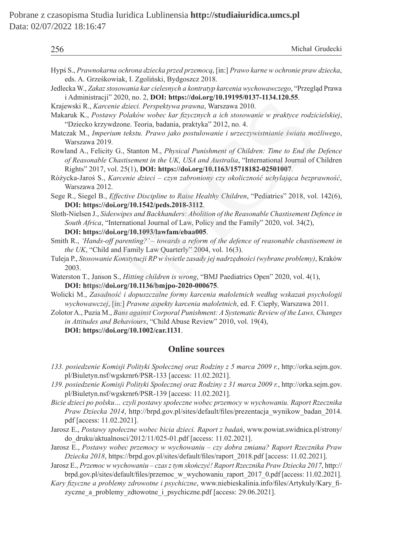| 256                                                                                                                                                                                                                                                                                                                           | Michał Grudecki |
|-------------------------------------------------------------------------------------------------------------------------------------------------------------------------------------------------------------------------------------------------------------------------------------------------------------------------------|-----------------|
| Hypś S., Prawnokarna ochrona dziecka przed przemocą, [in:] Prawo karne w ochronie praw dziecka,<br>eds. A. Grześkowiak, I. Zgoliński, Bydgoszcz 2018.                                                                                                                                                                         |                 |
| Jedlecka W., Zakaz stosowania kar cielesnych a kontratyp karcenia wychowawczego, "Przegląd Prawa<br>i Administracji" 2020, no. 2, DOI: https://doi.org/10.19195/0137-1134.120.55.<br>Krajewski R., Karcenie dzieci. Perspektywa prawna, Warszawa 2010.                                                                        |                 |
| Makaruk K., Postawy Polaków wobec kar fizycznych a ich stosowanie w praktyce rodzicielskiej,<br>"Dziecko krzywdzone. Teoria, badania, praktyka" 2012, no. 4.                                                                                                                                                                  |                 |
| Matczak M., Imperium tekstu. Prawo jako postulowanie i urzeczywistnianie świata możliwego,<br>Warszawa 2019.                                                                                                                                                                                                                  |                 |
| Rowland A., Felicity G., Stanton M., Physical Punishment of Children: Time to End the Defence<br>of Reasonable Chastisement in the UK, USA and Australia, "International Journal of Children<br>Rights" 2017, vol. 25(1), DOI: https://doi.org/10.1163/15718182-02501007.                                                     |                 |
| Różycka-Jaroś S., Karcenie dzieci - czyn zabroniony czy okoliczność uchylająca bezprawność,<br>Warszawa 2012.                                                                                                                                                                                                                 |                 |
| Sege R., Siegel B., Effective Discipline to Raise Healthy Children, "Pediatrics" 2018, vol. 142(6),<br>DOI: https://doi.org/10.1542/peds.2018-3112.                                                                                                                                                                           |                 |
| Sloth-Nielsen J., Sideswipes and Backhanders: Abolition of the Reasonable Chastisement Defence in<br>South Africa, "International Journal of Law, Policy and the Family" 2020, vol. 34(2),<br>DOI: https://doi.org/10.1093/lawfam/ebaa005.                                                                                    |                 |
| Smith R., 'Hands-off parenting?' – towards a reform of the defence of reasonable chastisement in<br>the UK, "Child and Family Law Quarterly" 2004, vol. 16(3).                                                                                                                                                                |                 |
| Tuleja P., Stosowanie Konstytucji RP w świetle zasady jej nadrzędności (wybrane problemy), Kraków<br>2003.                                                                                                                                                                                                                    |                 |
| Waterston T., Janson S., Hitting children is wrong, "BMJ Paediatrics Open" 2020, vol. 4(1),<br>DOI: https://doi.org/10.1136/bmjpo-2020-000675.                                                                                                                                                                                |                 |
| Wolicki M., Zasadność i dopuszczalne formy karcenia małoletnich według wskazań psychologii<br>wychowawczej, [in:] Prawne aspekty karcenia małoletnich, ed. F. Ciepły, Warszawa 2011.                                                                                                                                          |                 |
| Zolotor A., Puzia M., Bans against Corporal Punishment: A Systematic Review of the Laws, Changes<br>in Attitudes and Behaviours, "Child Abuse Review" 2010, vol. 19(4),<br>DOI: https://doi.org/10.1002/car.1131.                                                                                                             |                 |
| <b>Online sources</b>                                                                                                                                                                                                                                                                                                         |                 |
| 133. posiedzenie Komisji Polityki Społecznej oraz Rodziny z 5 marca 2009 r., http://orka.sejm.gov.<br>pl/Biuletyn.nsf/wgskrnr6/PSR-133 [access: 11.02.2021].<br>139. posiedzenie Komisji Polityki Społecznej oraz Rodziny z 31 marca 2009 r., http://orka.sejm.gov.<br>pl/Biuletyn.nsf/wgskrnr6/PSR-139 [access: 11.02.2021]. |                 |
| Bicie dzieci po polsku  czyli postawy społeczne wobec przemocy w wychowaniu. Raport Rzecznika<br>Praw Dziecka 2014, http://brpd.gov.pl/sites/default/files/prezentacja wynikow badan 2014.<br>ndf [access: 11.02.2021].                                                                                                       |                 |

- Jarosz E., *Postawy społeczne wobec bicia dzieci. Raport z badań*, www.powiat.swidnica.pl/strony/ do\_druku/aktualnosci/2012/11/025-01.pdf [access: 11.02.2021].
- Jarosz E., *Postawy wobec przemocy w wychowaniu czy dobra zmiana? Raport Rzecznika Praw Dziecka 2018*, https://brpd.gov.pl/sites/default/files/raport\_2018.pdf [access: 11.02.2021].
- Jarosz E., *Przemoc w wychowaniu czas ztym skończyć! Raport Rzecznika Praw Dziecka 2017*, http:// brpd.gov.pl/sites/default/files/przemoc\_w\_wychowaniu\_raport\_2017\_0.pdf [access: 11.02.2021].
- *Kary fizyczne a problemy zdrowotne i psychiczne*, www.niebieskalinia.info/files/Artykuly/Kary\_fizyczne a problemy zdtowotne i psychiczne.pdf [access: 29.06.2021].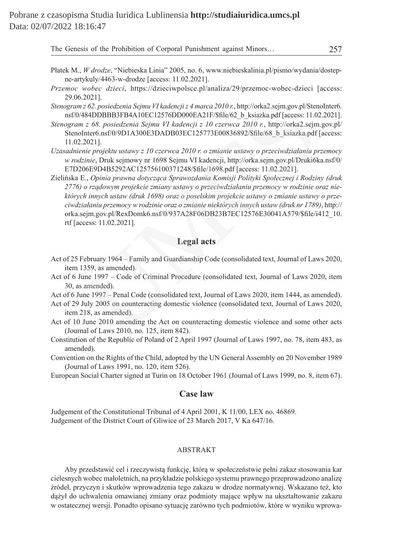- Płatek M., *W drodze*, "Niebieska Linia" 2005, no. 6, www.niebieskalinia.pl/pismo/wydania/dostepne-artykuly/4463-w-drodze [access: 11.02.2021].
- *Przemoc wobec dzieci*, https://dzieciwpolsce.pl/analiza/29/przemoc-wobec-dzieci [access: 29.06.2021].
- *Stenogram z 62. posiedzenia Sejmu VI kadencji z 4 marca 2010 r.*, http://orka2.sejm.gov.pl/StenoInter6. nsf/0/484DDBBB3FB4A10EC12576DD000EA21F/\$file/62\_b\_ksiazka.pdf [access: 11.02.2021].
- *Stenogram z 68. posiedzenia Sejmu VI kadencji z 10 czerwca 2010 r.*, http://orka2.sejm.gov.pl/ StenoInter6.nsf/0/9D1A300E3DADB03EC125773E00836892/\$file/68\_b\_ksiazka.pdf [access: 11.02.2021].
- *Uzasadnienie projektu ustawy z 10 czerwca 2010 r. o zmianie ustawy o przeciwdziałaniu przemocy w rodzinie*, Druk sejmowy nr 1698 Sejmu VI kadencji, http://orka.sejm.gov.pl/Druki6ka.nsf/0/ E7D206E9D4B5292AC125756100371248/\$file/1698.pdf [access: 11.02.2021].
- Zielińska E., *Opinia prawna dotycząca Sprawozdania Komisji Polityki Społecznej i Rodziny (druk 2776) o rządowym projekcie zmiany ustawy o przeciwdziałaniu przemocy w rodzinie oraz niektórych innych ustaw (druk 1698) oraz o poselskim projekcie ustawy o zmianie ustawy o przeciwdziałaniu przemocy w rodzinie oraz o zmianie niektórych innych ustaw (druk nr 1789)*, http:// orka.sejm.gov.pl/RexDomk6.nsf/0/937A28F06DB23B7EC12576E30041A579/\$file/i412\_10. rtf [access: 11.02.2021]. **Example 1918 For all and Supple 12**<br> **Example 1918 For all and Supple AV** Interviate and Supple 21<br> **Example 12**<br> **Example 12**<br> **Example 12**<br> **Example 12**<br> **Example 12**<br> **Example 12**<br> **Example 12**<br> **Example 12**<br> **Example**

### **Legal acts**

- Act of 25 February 1964 Family and Guardianship Code (consolidated text, Journal of Laws 2020, item 1359, as amended).
- Act of 6 June 1997 Code of Criminal Procedure (consolidated text, Journal of Laws 2020, item 30, as amended).
- Act of 6 June 1997 Penal Code (consolidated text, Journal of Laws 2020, item 1444, as amended).
- Act of 29 July 2005 on counteracting domestic violence (consolidated text, Journal of Laws 2020, item 218, as amended).
- Act of 10 June 2010 amending the Act on counteracting domestic violence and some other acts (Journal of Laws 2010, no. 125, item 842).
- Constitution of the Republic of Poland of 2 April 1997 (Journal of Laws 1997, no. 78, item 483, as amended).
- Convention on the Rights of the Child, adopted by the UN General Assembly on 20 November 1989 (Journal of Laws 1991, no. 120, item 526).

European Social Charter signed at Turin on 18 October 1961 (Journal of Laws 1999, no. 8, item 67).

### **Case law**

Judgement of the Constitutional Tribunal of 4 April 2001, K 11/00, LEX no. 46869. Judgement of the District Court of Gliwice of 23 March 2017, V Ka 647/16.

#### ABSTRAKT

Aby przedstawić cel i rzeczywistą funkcję, którą w społeczeństwie pełni zakaz stosowania kar cielesnych wobec małoletnich, na przykładzie polskiego systemu prawnego przeprowadzono analizę źródeł, przyczyn i skutków wprowadzenia tego zakazu w drodze normatywnej. Wskazano też, kto dążył do uchwalenia omawianej zmiany oraz podmioty mające wpływ na ukształtowanie zakazu w ostatecznej wersji. Ponadto opisano sytuację zarówno tych podmiotów, które w wyniku wprowa-